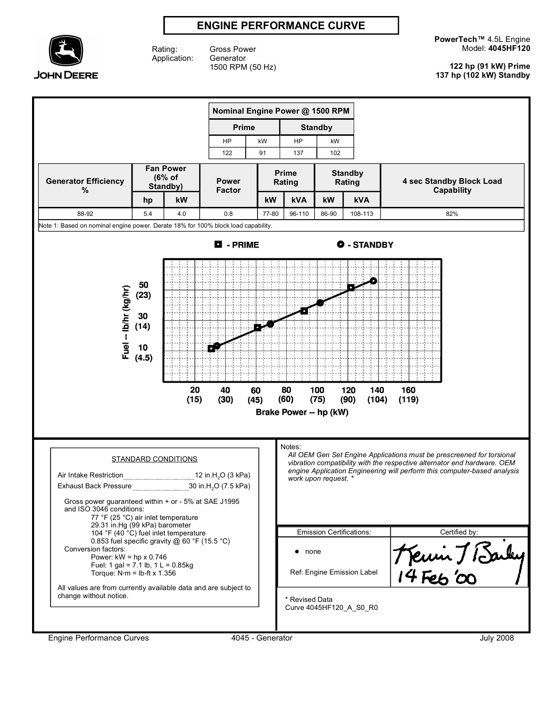# **ENGINE PERFORMANCE CURVE**



Rating: Application:

Gross Power **Generator** 1500 RPM (50 Hz) **PowerTech™** 4.5L Engine Model: **4045HF120**

**122 hp (91 kW) Prime 137 hp (102 kW) Standby**

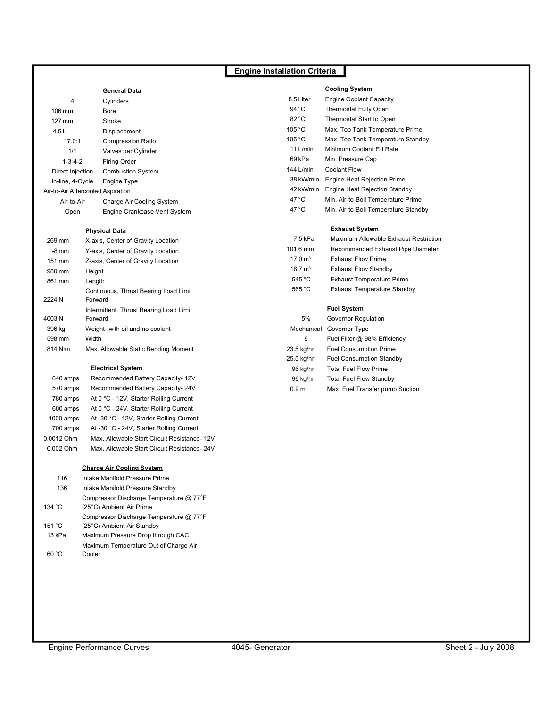# **Engine Installation Criteria**

|                                   | <b>General Data</b>          |                | <b>Cooling System</b>                |
|-----------------------------------|------------------------------|----------------|--------------------------------------|
| 4                                 | Cylinders                    | 8.5 Liter      | Engine Coolant Capacity              |
| $106 \text{ mm}$                  | Bore                         | 94 °C          | Thermostat Fully Open                |
| 127 mm                            | Stroke                       | 82 °C          | Thermostat Start to Open             |
| 4.5L                              | Displacement                 | 105 °C         | Max. Top Tank Temperature Prime      |
| 17.0:1                            | <b>Compression Ratio</b>     | 105 °C         | Max. Top Tank Temperature Standby    |
| 1/1                               | Valves per Cylinder          | 11 $L/min$     | Minimum Coolant Fill Rate            |
| $1 - 3 - 4 - 2$                   | Firing Order                 | 69 kPa         | Min. Pressure Cap                    |
| Direct Injection                  | <b>Combustion System</b>     | 144 L/min      | Coolant Flow                         |
| In-line, 4-Cycle                  | Engine Type                  | 38 kW/min      | Engine Heat Rejection Prime          |
| Air-to-Air Aftercooled Aspiration |                              | 42 kW/min      | Engine Heat Rejection Standby        |
| Air-to-Air                        | Charge Air Cooling System    | $47^{\circ}$ C | Min. Air-to-Boil Temperature Prime   |
| Open                              | Engine Crankcase Vent System | $47^{\circ}$ C | Min. Air-to-Boil Temperature Standby |
| <b>Physical Data</b>              |                              |                | <b>Exhaust System</b>                |

| tion       | 7.5 kPa            | Maximum Allowable Exhaust Restriction |  |  |
|------------|--------------------|---------------------------------------|--|--|
| tion       | 101.6 mm           | Recommended Exhaust Pipe Diameter     |  |  |
| :ion       | 17.0 $m3$          | <b>Exhaust Flow Prime</b>             |  |  |
|            | 18.7 $m3$          | <b>Exhaust Flow Standby</b>           |  |  |
|            | 545 °C             | <b>Exhaust Temperature Prime</b>      |  |  |
| ad Limit   | 565 °C             | <b>Exhaust Temperature Standby</b>    |  |  |
|            |                    |                                       |  |  |
| ad Limit   | <b>Fuel System</b> |                                       |  |  |
|            | 5%                 | Governor Regulation                   |  |  |
|            | Mechanical         | Governor Type                         |  |  |
|            | 8                  | Fuel Filter @ 98% Efficiency          |  |  |
| Moment     | 23.5 kg/hr         | <b>Fuel Consumption Prime</b>         |  |  |
|            | 25.5 kg/hr         | <b>Fuel Consumption Standby</b>       |  |  |
|            | 96 kg/hr           | <b>Total Fuel Flow Prime</b>          |  |  |
| acity- 12V | 96 kg/hr           | <b>Total Fuel Flow Standby</b>        |  |  |
| acity- 24V | 0.9 <sub>m</sub>   | Max. Fuel Transfer pump Suction       |  |  |
|            |                    |                                       |  |  |

### 269 mm X-axis, Center of Gravity Location

| $-8 \text{ mm}$ | Y-axis, Center of Gravity Location               |
|-----------------|--------------------------------------------------|
| 151 mm          | Z-axis, Center of Gravity Location               |
| 980 mm          | Height                                           |
| 861 mm          | Length                                           |
| 2224 N          | Continuous, Thrust Bearing Load Limit<br>Forward |
|                 | Intermittent, Thrust Bearing Load Limit          |
| 4003N           | Forward                                          |
| 396 kg          | Weight- with oil and no coolant                  |
| 598 mm          | Width                                            |
| 814 N·m         | Max. Allowable Static Bending Moment             |
|                 |                                                  |

### **Electrical System**

| 640 amps   | Recommended Battery Capacity- 12V            |
|------------|----------------------------------------------|
| 570 amps   | Recommended Battery Capacity-24V             |
| 780 amps   | At 0 °C - 12V, Starter Rolling Current       |
| 600 amps   | At 0 °C - 24V, Starter Rolling Current       |
| 1000 amps  | At -30 °C - 12V, Starter Rolling Current     |
| 700 amps   | At -30 °C - 24V, Starter Rolling Current     |
| 0.0012 Ohm | Max. Allowable Start Circuit Resistance- 12V |
| 0.002 Ohm  | Max. Allowable Start Circuit Resistance-24V  |

#### **Charge Air Cooling System**

| 116    | Intake Manifold Pressure Prime          |
|--------|-----------------------------------------|
| 136    | Intake Manifold Pressure Standby        |
|        | Compressor Discharge Temperature @ 77°F |
| 134 °C | (25°C) Ambient Air Prime                |
|        | Compressor Discharge Temperature @ 77°F |
| 151 °C | (25°C) Ambient Air Standby              |
| 13 kPa | Maximum Pressure Drop through CAC       |
|        | Maximum Temperature Out of Charge Air   |
| በ°C    | Cooler                                  |
|        |                                         |